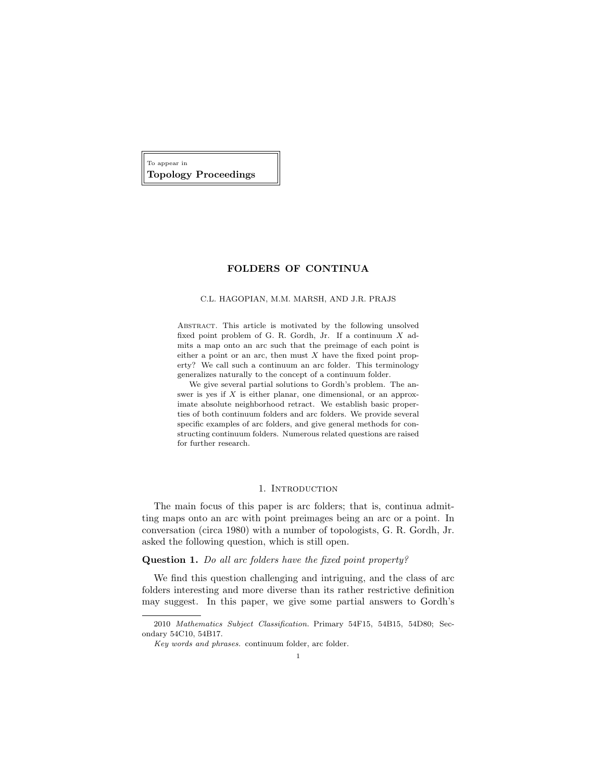To appear in Topology Proceedings

# FOLDERS OF CONTINUA

#### C.L. HAGOPIAN, M.M. MARSH, AND J.R. PRAJS

Abstract. This article is motivated by the following unsolved fixed point problem of G. R. Gordh, Jr. If a continuum X admits a map onto an arc such that the preimage of each point is either a point or an arc, then must  $X$  have the fixed point property? We call such a continuum an arc folder. This terminology generalizes naturally to the concept of a continuum folder.

We give several partial solutions to Gordh's problem. The answer is yes if  $X$  is either planar, one dimensional, or an approximate absolute neighborhood retract. We establish basic properties of both continuum folders and arc folders. We provide several specific examples of arc folders, and give general methods for constructing continuum folders. Numerous related questions are raised for further research.

# 1. INTRODUCTION

The main focus of this paper is arc folders; that is, continua admitting maps onto an arc with point preimages being an arc or a point. In conversation (circa 1980) with a number of topologists, G. R. Gordh, Jr. asked the following question, which is still open.

### Question 1. Do all arc folders have the fixed point property?

We find this question challenging and intriguing, and the class of arc folders interesting and more diverse than its rather restrictive definition may suggest. In this paper, we give some partial answers to Gordh's

<sup>2010</sup> Mathematics Subject Classification. Primary 54F15, 54B15, 54D80; Secondary 54C10, 54B17.

Key words and phrases. continuum folder, arc folder.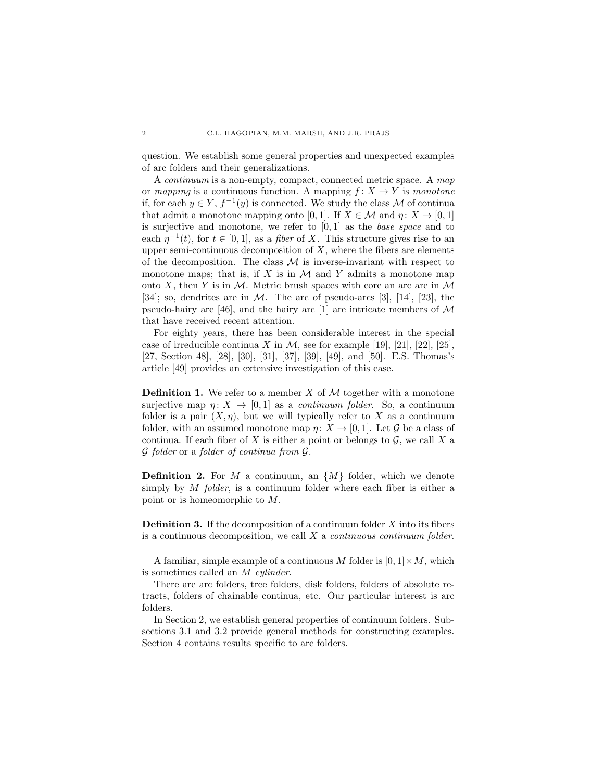question. We establish some general properties and unexpected examples of arc folders and their generalizations.

A continuum is a non-empty, compact, connected metric space. A map or mapping is a continuous function. A mapping  $f: X \to Y$  is monotone if, for each  $y \in Y$ ,  $f^{-1}(y)$  is connected. We study the class M of continua that admit a monotone mapping onto [0, 1]. If  $X \in \mathcal{M}$  and  $\eta: X \to [0, 1]$ is surjective and monotone, we refer to  $[0, 1]$  as the *base space* and to each  $\eta^{-1}(t)$ , for  $t \in [0,1]$ , as a *fiber* of X. This structure gives rise to an upper semi-continuous decomposition of  $X$ , where the fibers are elements of the decomposition. The class  $\mathcal M$  is inverse-invariant with respect to monotone maps; that is, if  $X$  is in  $M$  and  $Y$  admits a monotone map onto X, then Y is in M. Metric brush spaces with core an arc are in  $\mathcal M$ [34]; so, dendrites are in  $M$ . The arc of pseudo-arcs [3], [14], [23], the pseudo-hairy arc [46], and the hairy arc [1] are intricate members of  $\mathcal M$ that have received recent attention.

For eighty years, there has been considerable interest in the special case of irreducible continua X in M, see for example [19], [21], [22], [25], [27, Section 48], [28], [30], [31], [37], [39], [49], and [50]. E.S. Thomas's article [49] provides an extensive investigation of this case.

**Definition 1.** We refer to a member X of  $M$  together with a monotone surjective map  $\eta: X \to [0, 1]$  as a *continuum folder*. So, a continuum folder is a pair  $(X, \eta)$ , but we will typically refer to X as a continuum folder, with an assumed monotone map  $\eta: X \to [0, 1]$ . Let G be a class of continua. If each fiber of X is either a point or belongs to  $\mathcal{G}$ , we call X a G folder or a folder of continua from G.

**Definition 2.** For M a continuum, an  $\{M\}$  folder, which we denote simply by M folder, is a continuum folder where each fiber is either a point or is homeomorphic to M.

**Definition 3.** If the decomposition of a continuum folder  $X$  into its fibers is a continuous decomposition, we call  $X$  a *continuous continuum folder*.

A familiar, simple example of a continuous M folder is  $[0, 1] \times M$ , which is sometimes called an M cylinder.

There are arc folders, tree folders, disk folders, folders of absolute retracts, folders of chainable continua, etc. Our particular interest is arc folders.

In Section 2, we establish general properties of continuum folders. Subsections 3.1 and 3.2 provide general methods for constructing examples. Section 4 contains results specific to arc folders.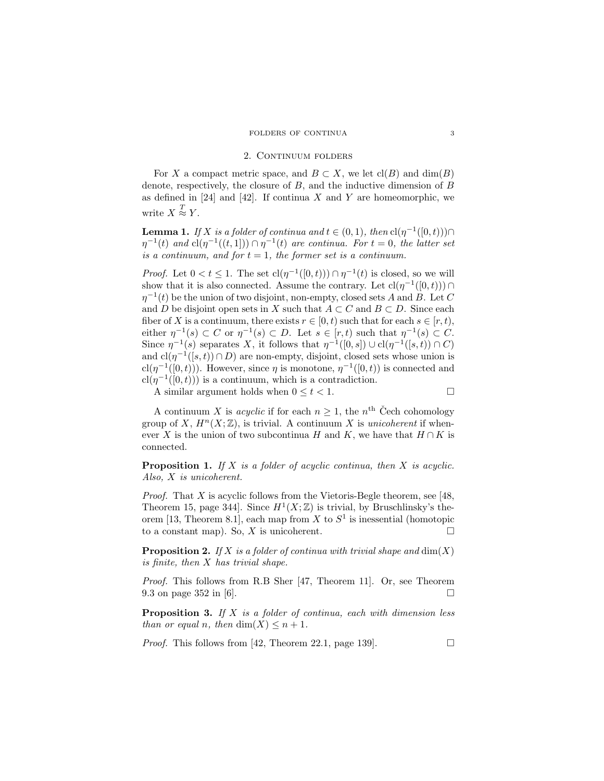#### 2. CONTINUUM FOLDERS

For X a compact metric space, and  $B \subset X$ , we let  $\text{cl}(B)$  and  $\dim(B)$ denote, respectively, the closure of  $B$ , and the inductive dimension of  $B$ as defined in [24] and [42]. If continua X and Y are homeomorphic, we write  $X \stackrel{T}{\approx} Y$ .

**Lemma 1.** If X is a folder of continua and  $t \in (0,1)$ , then  $\text{cl}(\eta^{-1}([0,t))) \cap$  $\eta^{-1}(t)$  and  $\text{cl}(\eta^{-1}((t,1])) \cap \eta^{-1}(t)$  are continua. For  $t = 0$ , the latter set is a continuum, and for  $t = 1$ , the former set is a continuum.

*Proof.* Let  $0 < t \leq 1$ . The set  $cl(\eta^{-1}([0,t))) \cap \eta^{-1}(t)$  is closed, so we will show that it is also connected. Assume the contrary. Let  $\text{cl}(\eta^{-1}([0,t))) \cap$  $\eta^{-1}(t)$  be the union of two disjoint, non-empty, closed sets A and B. Let C and D be disjoint open sets in X such that  $A \subset C$  and  $B \subset D$ . Since each fiber of X is a continuum, there exists  $r \in [0, t)$  such that for each  $s \in [r, t)$ , either  $\eta^{-1}(s) \subset C$  or  $\eta^{-1}(s) \subset D$ . Let  $s \in [r, t)$  such that  $\eta^{-1}(s) \subset C$ . Since  $\eta^{-1}(s)$  separates X, it follows that  $\eta^{-1}([0, s]) \cup cl(\eta^{-1}([s, t)) \cap C)$ and  $\text{cl}(\eta^{-1}([s,t)) \cap D)$  are non-empty, disjoint, closed sets whose union is  $\text{cl}(\eta^{-1}([0,t)))$ . However, since  $\eta$  is monotone,  $\eta^{-1}([0,t))$  is connected and  $\text{cl}(\eta^{-1}([0,t)))$  is a continuum, which is a contradiction.

A similar argument holds when  $0 \le t \le 1$ .

A continuum X is *acyclic* if for each  $n \geq 1$ , the  $n<sup>th</sup>$  Čech cohomology group of X,  $H^{n}(X;\mathbb{Z})$ , is trivial. A continuum X is *unicoherent* if whenever X is the union of two subcontinua H and K, we have that  $H \cap K$  is connected.

**Proposition 1.** If  $X$  is a folder of acyclic continua, then  $X$  is acyclic. Also, X is unicoherent.

*Proof.* That X is acyclic follows from the Vietoris-Begle theorem, see [48, Theorem 15, page 344. Since  $H^1(X;\mathbb{Z})$  is trivial, by Bruschlinsky's theorem [13, Theorem 8.1], each map from X to  $S<sup>1</sup>$  is inessential (homotopic to a constant map). So, X is unicoherent.

**Proposition 2.** If X is a folder of continua with trivial shape and  $dim(X)$ is finite, then X has trivial shape.

Proof. This follows from R.B Sher [47, Theorem 11]. Or, see Theorem 9.3 on page 352 in [6].

**Proposition 3.** If  $X$  is a folder of continua, each with dimension less than or equal n, then  $\dim(X) \leq n+1$ .

*Proof.* This follows from [42, Theorem 22.1, page 139].  $\Box$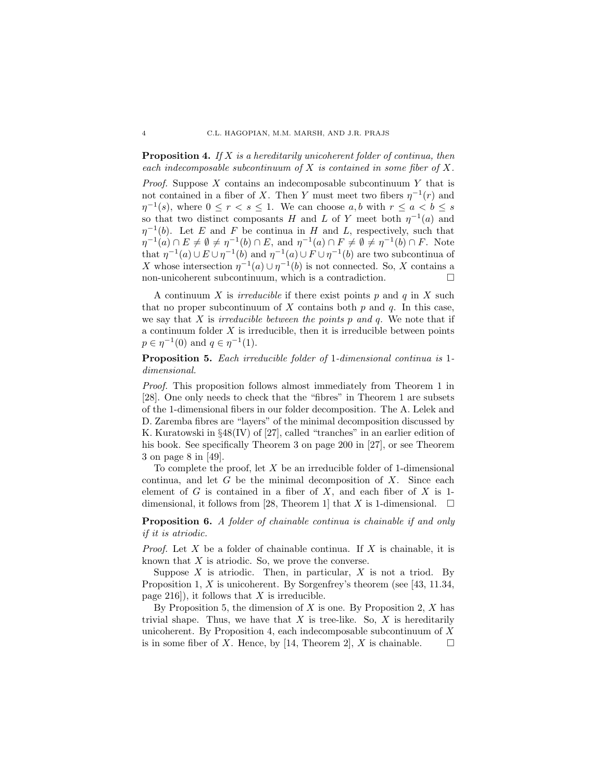**Proposition 4.** If X is a hereditarily unicoherent folder of continua, then each indecomposable subcontinuum of  $X$  is contained in some fiber of  $X$ .

*Proof.* Suppose  $X$  contains an indecomposable subcontinuum  $Y$  that is not contained in a fiber of X. Then Y must meet two fibers  $\eta^{-1}(r)$  and  $\eta^{-1}(s)$ , where  $0 \leq r < s \leq 1$ . We can choose a, b with  $r \leq a < b \leq s$ so that two distinct composants H and L of Y meet both  $\eta^{-1}(a)$  and  $\eta^{-1}(b)$ . Let E and F be continua in H and L, respectively, such that  $\eta^{-1}(a) \cap E \neq \emptyset \neq \eta^{-1}(b) \cap E$ , and  $\eta^{-1}(a) \cap F \neq \emptyset \neq \eta^{-1}(b) \cap F$ . Note that  $\eta^{-1}(a) \cup E \cup \eta^{-1}(b)$  and  $\eta^{-1}(a) \cup F \cup \eta^{-1}(b)$  are two subcontinua of X whose intersection  $\eta^{-1}(a) \cup \eta^{-1}(b)$  is not connected. So, X contains a non-unicoherent subcontinuum, which is a contradiction.

A continuum X is *irreducible* if there exist points  $p$  and  $q$  in X such that no proper subcontinuum of X contains both  $p$  and  $q$ . In this case, we say that  $X$  is *irreducible between the points p and q*. We note that if a continuum folder  $X$  is irreducible, then it is irreducible between points  $p \in \eta^{-1}(0)$  and  $q \in \eta^{-1}(1)$ .

Proposition 5. Each irreducible folder of 1-dimensional continua is 1 dimensional.

Proof. This proposition follows almost immediately from Theorem 1 in [28]. One only needs to check that the "fibres" in Theorem 1 are subsets of the 1-dimensional fibers in our folder decomposition. The A. Lelek and D. Zaremba fibres are "layers" of the minimal decomposition discussed by K. Kuratowski in §48(IV) of [27], called "tranches" in an earlier edition of his book. See specifically Theorem 3 on page 200 in [27], or see Theorem 3 on page 8 in [49].

To complete the proof, let  $X$  be an irreducible folder of 1-dimensional continua, and let  $G$  be the minimal decomposition of  $X$ . Since each element of  $G$  is contained in a fiber of  $X$ , and each fiber of  $X$  is 1dimensional, it follows from [28, Theorem 1] that X is 1-dimensional.  $\square$ 

Proposition 6. A folder of chainable continua is chainable if and only if it is atriodic.

*Proof.* Let X be a folder of chainable continua. If X is chainable, it is known that  $X$  is atriodic. So, we prove the converse.

Suppose  $X$  is atriodic. Then, in particular,  $X$  is not a triod. By Proposition 1, X is unicoherent. By Sorgenfrey's theorem (see [43, 11.34, page 216]), it follows that  $X$  is irreducible.

By Proposition 5, the dimension of  $X$  is one. By Proposition 2,  $X$  has trivial shape. Thus, we have that  $X$  is tree-like. So,  $X$  is hereditarily unicoherent. By Proposition 4, each indecomposable subcontinuum of  $X$ is in some fiber of X. Hence, by [14, Theorem 2], X is chainable.  $\square$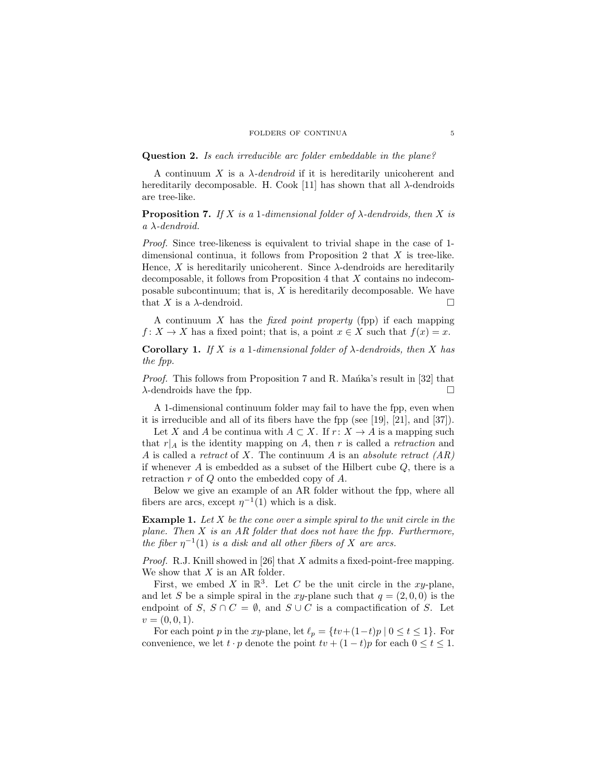#### FOLDERS OF CONTINUA<sup>5</sup>

## Question 2. Is each irreducible arc folder embeddable in the plane?

A continuum X is a  $\lambda$ -dendroid if it is hereditarily unicoherent and hereditarily decomposable. H. Cook [11] has shown that all  $\lambda$ -dendroids are tree-like.

**Proposition 7.** If X is a 1-dimensional folder of  $\lambda$ -dendroids, then X is a λ-dendroid.

Proof. Since tree-likeness is equivalent to trivial shape in the case of 1 dimensional continua, it follows from Proposition 2 that  $X$  is tree-like. Hence, X is hereditarily unicoherent. Since  $\lambda$ -dendroids are hereditarily decomposable, it follows from Proposition 4 that X contains no indecomposable subcontinuum; that is,  $X$  is hereditarily decomposable. We have that X is a  $\lambda$ -dendroid.

A continuum  $X$  has the *fixed point property* (fpp) if each mapping  $f: X \to X$  has a fixed point; that is, a point  $x \in X$  such that  $f(x) = x$ .

**Corollary 1.** If X is a 1-dimensional folder of  $\lambda$ -dendroids, then X has the fpp.

*Proof.* This follows from Proposition 7 and R. Manka's result in  $[32]$  that  $\lambda$ -dendroids have the fpp.

A 1-dimensional continuum folder may fail to have the fpp, even when it is irreducible and all of its fibers have the fpp (see [19], [21], and [37]).

Let X and A be continua with  $A \subset X$ . If  $r: X \to A$  is a mapping such that  $r|_A$  is the identity mapping on A, then r is called a retraction and A is called a retract of X. The continuum A is an absolute retract  $(AR)$ if whenever  $A$  is embedded as a subset of the Hilbert cube  $Q$ , there is a retraction r of Q onto the embedded copy of A.

Below we give an example of an AR folder without the fpp, where all fibers are arcs, except  $\eta^{-1}(1)$  which is a disk.

**Example 1.** Let  $X$  be the cone over a simple spiral to the unit circle in the plane. Then  $X$  is an AR folder that does not have the fpp. Furthermore, the fiber  $\eta^{-1}(1)$  is a disk and all other fibers of X are arcs.

*Proof.* R.J. Knill showed in [26] that  $X$  admits a fixed-point-free mapping. We show that  $X$  is an AR folder.

First, we embed X in  $\mathbb{R}^3$ . Let C be the unit circle in the xy-plane, and let S be a simple spiral in the xy-plane such that  $q = (2, 0, 0)$  is the endpoint of S,  $S \cap C = \emptyset$ , and  $S \cup C$  is a compactification of S. Let  $v = (0, 0, 1).$ 

For each point p in the xy-plane, let  $\ell_p = \{tv+(1-t)p | 0 \le t \le 1\}$ . For convenience, we let  $t \cdot p$  denote the point  $tv + (1-t)p$  for each  $0 \le t \le 1$ .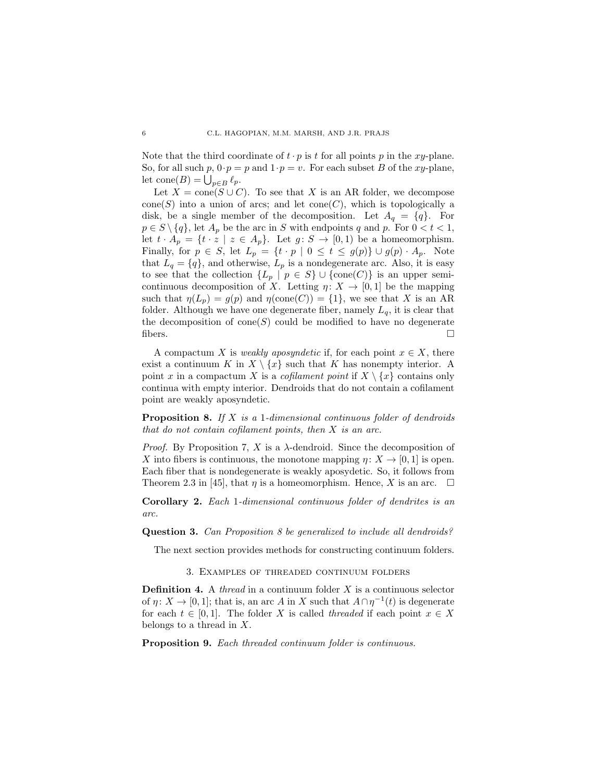Note that the third coordinate of  $t \cdot p$  is t for all points p in the xy-plane. So, for all such  $p, 0 \tcdot p = p$  and  $1 \tcdot p = v$ . For each subset B of the xy-plane, let  $cone(B) = \bigcup_{p \in B} \ell_p$ .

Let  $X = \text{cone}(S \cup C)$ . To see that X is an AR folder, we decompose cone(S) into a union of arcs; and let  $cone(C)$ , which is topologically a disk, be a single member of the decomposition. Let  $A_q = \{q\}$ . For  $p \in S \setminus \{q\}$ , let  $A_p$  be the arc in S with endpoints q and p. For  $0 < t < 1$ , let  $t \cdot A_p = \{t \cdot z \mid z \in A_p\}$ . Let  $g \colon S \to [0,1)$  be a homeomorphism. Finally, for  $p \in S$ , let  $L_p = \{t \cdot p \mid 0 \le t \le g(p)\} \cup g(p) \cdot A_p$ . Note that  $L_q = \{q\}$ , and otherwise,  $L_p$  is a nondegenerate arc. Also, it is easy to see that the collection  $\{L_p | p \in S\} \cup \{\text{cone}(C)\}\$ is an upper semicontinuous decomposition of X. Letting  $\eta: X \to [0,1]$  be the mapping such that  $\eta(L_p) = g(p)$  and  $\eta(\text{cone}(C)) = \{1\}$ , we see that X is an AR folder. Although we have one degenerate fiber, namely  $L_q$ , it is clear that the decomposition of cone(S) could be modified to have no degenerate fibers.  $\Box$ 

A compactum X is *weakly aposyndetic* if, for each point  $x \in X$ , there exist a continuum K in  $X \setminus \{x\}$  such that K has nonempty interior. A point x in a compactum X is a *cofilament point* if  $X \setminus \{x\}$  contains only continua with empty interior. Dendroids that do not contain a cofilament point are weakly aposyndetic.

**Proposition 8.** If  $X$  is a 1-dimensional continuous folder of dendroids that do not contain cofilament points, then  $X$  is an arc.

*Proof.* By Proposition 7, X is a  $\lambda$ -dendroid. Since the decomposition of X into fibers is continuous, the monotone mapping  $\eta: X \to [0, 1]$  is open. Each fiber that is nondegenerate is weakly aposydetic. So, it follows from Theorem 2.3 in [45], that  $\eta$  is a homeomorphism. Hence, X is an arc.  $\square$ 

Corollary 2. Each 1-dimensional continuous folder of dendrites is an arc.

Question 3. Can Proposition 8 be generalized to include all dendroids?

The next section provides methods for constructing continuum folders.

3. Examples of threaded continuum folders

**Definition 4.** A *thread* in a continuum folder  $X$  is a continuous selector of  $\eta: X \to [0,1]$ ; that is, an arc A in X such that  $A \cap \eta^{-1}(t)$  is degenerate for each  $t \in [0,1]$ . The folder X is called threaded if each point  $x \in X$ belongs to a thread in  $X$ .

Proposition 9. Each threaded continuum folder is continuous.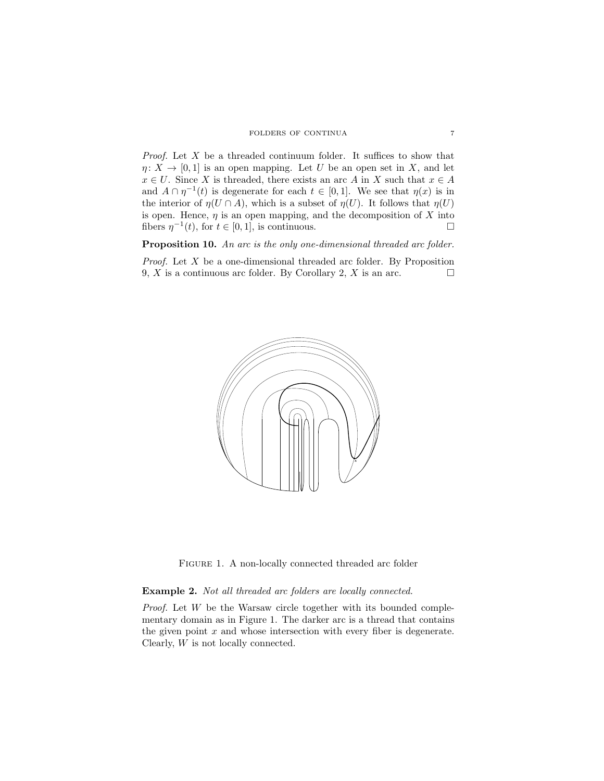*Proof.* Let  $X$  be a threaded continuum folder. It suffices to show that  $\eta: X \to [0,1]$  is an open mapping. Let U be an open set in X, and let  $x \in U$ . Since X is threaded, there exists an arc A in X such that  $x \in A$ and  $A \cap \eta^{-1}(t)$  is degenerate for each  $t \in [0,1]$ . We see that  $\eta(x)$  is in the interior of  $\eta(U \cap A)$ , which is a subset of  $\eta(U)$ . It follows that  $\eta(U)$ is open. Hence,  $\eta$  is an open mapping, and the decomposition of X into fibers  $\eta^{-1}(t)$ , for  $t \in [0,1]$ , is continuous.

Proposition 10. An arc is the only one-dimensional threaded arc folder.

Proof. Let X be a one-dimensional threaded arc folder. By Proposition 9, X is a continuous arc folder. By Corollary 2, X is an arc.  $\square$ 



FIGURE 1. A non-locally connected threaded arc folder

# Example 2. Not all threaded arc folders are locally connected.

Proof. Let W be the Warsaw circle together with its bounded complementary domain as in Figure 1. The darker arc is a thread that contains the given point  $x$  and whose intersection with every fiber is degenerate. Clearly, W is not locally connected.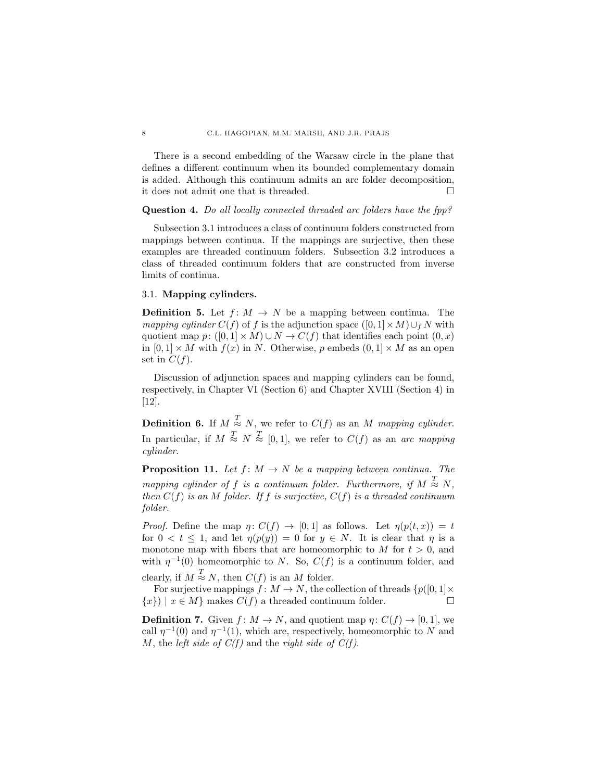There is a second embedding of the Warsaw circle in the plane that defines a different continuum when its bounded complementary domain is added. Although this continuum admits an arc folder decomposition, it does not admit one that is threaded.

## Question 4. Do all locally connected threaded arc folders have the fpp?

Subsection 3.1 introduces a class of continuum folders constructed from mappings between continua. If the mappings are surjective, then these examples are threaded continuum folders. Subsection 3.2 introduces a class of threaded continuum folders that are constructed from inverse limits of continua.

# 3.1. Mapping cylinders.

**Definition 5.** Let  $f: M \to N$  be a mapping between continua. The mapping cylinder  $C(f)$  of f is the adjunction space  $([0, 1] \times M) \cup_f N$  with quotient map  $p: ([0,1] \times M) \cup N \rightarrow C(f)$  that identifies each point  $(0, x)$ in  $[0, 1] \times M$  with  $f(x)$  in N. Otherwise, p embeds  $(0, 1] \times M$  as an open set in  $C(f)$ .

Discussion of adjunction spaces and mapping cylinders can be found, respectively, in Chapter VI (Section 6) and Chapter XVIII (Section 4) in [12].

**Definition 6.** If  $M \stackrel{T}{\approx} N$ , we refer to  $C(f)$  as an M mapping cylinder. In particular, if  $M \stackrel{T}{\approx} N \stackrel{T}{\approx} [0,1]$ , we refer to  $C(f)$  as an arc mapping cylinder.

**Proposition 11.** Let  $f: M \to N$  be a mapping between continua. The mapping cylinder of f is a continuum folder. Furthermore, if  $M \stackrel{T}{\approx} N$ , then  $C(f)$  is an M folder. If f is surjective,  $C(f)$  is a threaded continuum folder.

*Proof.* Define the map  $\eta: C(f) \to [0,1]$  as follows. Let  $\eta(p(t,x)) = t$ for  $0 < t \leq 1$ , and let  $\eta(p(y)) = 0$  for  $y \in N$ . It is clear that  $\eta$  is a monotone map with fibers that are homeomorphic to  $M$  for  $t > 0$ , and with  $\eta^{-1}(0)$  homeomorphic to N. So,  $C(f)$  is a continuum folder, and clearly, if  $M \stackrel{T}{\approx} N$ , then  $C(f)$  is an M folder.

For surjective mappings  $f: M \to N$ , the collection of threads  $\{p([0, 1] \times$  ${x}$ ) |  $x \in M$ } makes  $C(f)$  a threaded continuum folder.

**Definition 7.** Given  $f: M \to N$ , and quotient map  $\eta: C(f) \to [0, 1]$ , we call  $\eta^{-1}(0)$  and  $\eta^{-1}(1)$ , which are, respectively, homeomorphic to N and M, the left side of  $C(f)$  and the right side of  $C(f)$ .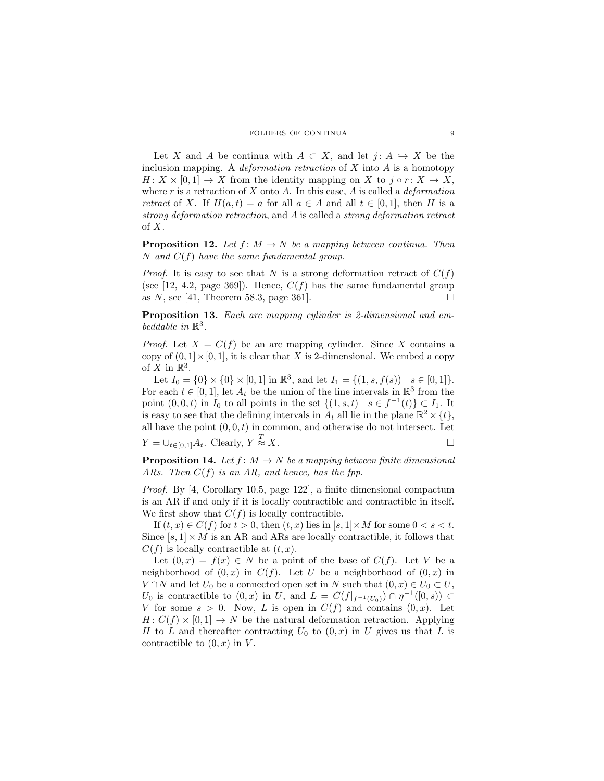Let X and A be continua with  $A \subset X$ , and let  $j: A \hookrightarrow X$  be the inclusion mapping. A *deformation retraction* of  $X$  into  $A$  is a homotopy  $H: X \times [0,1] \to X$  from the identity mapping on X to  $j \circ r: X \to X$ , where r is a retraction of X onto A. In this case, A is called a *deformation* retract of X. If  $H(a,t) = a$  for all  $a \in A$  and all  $t \in [0,1]$ , then H is a strong deformation retraction, and A is called a strong deformation retract of X.

**Proposition 12.** Let  $f: M \to N$  be a mapping between continua. Then N and  $C(f)$  have the same fundamental group.

*Proof.* It is easy to see that N is a strong deformation retract of  $C(f)$ (see [12, 4.2, page 369]). Hence,  $C(f)$  has the same fundamental group as N, see [41, Theorem 58.3, page 361].

Proposition 13. Each arc mapping cylinder is 2-dimensional and embeddable in  $\mathbb{R}^3$ .

*Proof.* Let  $X = C(f)$  be an arc mapping cylinder. Since X contains a copy of  $(0, 1] \times [0, 1]$ , it is clear that X is 2-dimensional. We embed a copy of X in  $\mathbb{R}^3$ .

Let  $I_0 = \{0\} \times \{0\} \times [0, 1]$  in  $\mathbb{R}^3$ , and let  $I_1 = \{(1, s, f(s)) \mid s \in [0, 1]\}.$ For each  $t \in [0,1]$ , let  $A_t$  be the union of the line intervals in  $\mathbb{R}^3$  from the point  $(0,0,t)$  in  $I_0$  to all points in the set  $\{(1,s,t) | s \in f^{-1}(t)\} \subset I_1$ . It is easy to see that the defining intervals in  $A_t$  all lie in the plane  $\mathbb{R}^2 \times \{t\}$ , all have the point  $(0, 0, t)$  in common, and otherwise do not intersect. Let

 $Y = \bigcup_{t \in [0,1]} A_t$ . Clearly,  $Y \stackrel{T}{\approx}$  $\approx$  X.

**Proposition 14.** Let  $f: M \to N$  be a mapping between finite dimensional ARs. Then  $C(f)$  is an AR, and hence, has the fpp.

Proof. By [4, Corollary 10.5, page 122], a finite dimensional compactum is an AR if and only if it is locally contractible and contractible in itself. We first show that  $C(f)$  is locally contractible.

If  $(t, x) \in C(f)$  for  $t > 0$ , then  $(t, x)$  lies in  $[s, 1] \times M$  for some  $0 < s < t$ . Since  $[s, 1] \times M$  is an AR and ARs are locally contractible, it follows that  $C(f)$  is locally contractible at  $(t, x)$ .

Let  $(0, x) = f(x) \in N$  be a point of the base of  $C(f)$ . Let V be a neighborhood of  $(0, x)$  in  $C(f)$ . Let U be a neighborhood of  $(0, x)$  in  $V \cap N$  and let  $U_0$  be a connected open set in N such that  $(0, x) \in U_0 \subset U$ , U<sub>0</sub> is contractible to  $(0, x)$  in U, and  $L = C(f|_{f^{-1}(U_0)}) \cap \eta^{-1}([0, s)) \subset$ V for some  $s > 0$ . Now, L is open in  $C(f)$  and contains  $(0, x)$ . Let  $H: C(f) \times [0,1] \rightarrow N$  be the natural deformation retraction. Applying H to L and thereafter contracting  $U_0$  to  $(0, x)$  in U gives us that L is contractible to  $(0, x)$  in V.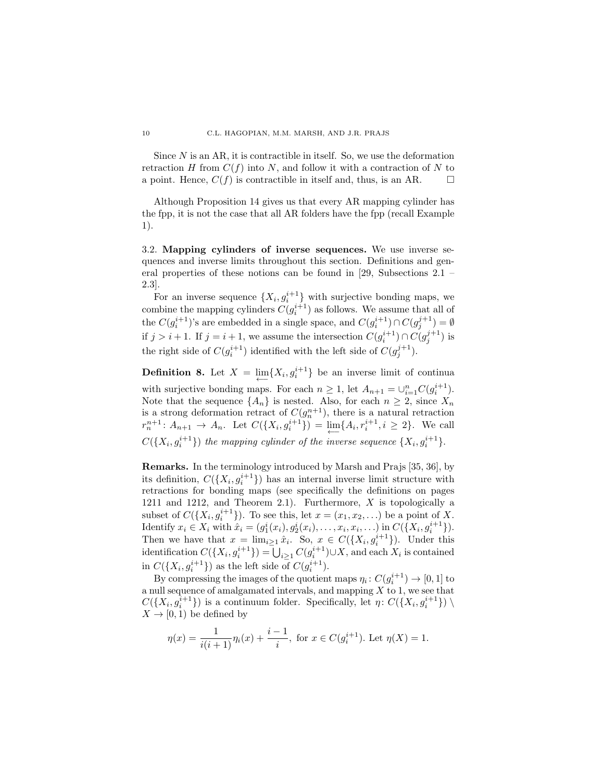Since  $N$  is an AR, it is contractible in itself. So, we use the deformation retraction H from  $C(f)$  into N, and follow it with a contraction of N to a point. Hence,  $C(f)$  is contractible in itself and, thus, is an AR.  $\Box$ 

Although Proposition 14 gives us that every AR mapping cylinder has the fpp, it is not the case that all AR folders have the fpp (recall Example 1).

3.2. Mapping cylinders of inverse sequences. We use inverse sequences and inverse limits throughout this section. Definitions and general properties of these notions can be found in [29, Subsections 2.1 – 2.3].

For an inverse sequence  $\{X_i, g_i^{i+1}\}\$  with surjective bonding maps, we combine the mapping cylinders  $C(g_i^{i+1})$  as follows. We assume that all of the  $C(g_i^{i+1})$ 's are embedded in a single space, and  $C(g_i^{i+1}) \cap C(g_j^{j+1}) = \emptyset$ if  $j > i + 1$ . If  $j = i + 1$ , we assume the intersection  $C(g_i^{i+1}) \cap C(g_j^{j+1})$  is the right side of  $C(g_i^{i+1})$  identified with the left side of  $C(g_j^{j+1})$ .

**Definition 8.** Let  $X = \lim_{n \to \infty} \{X_i, g_i^{i+1}\}\)$  be an inverse limit of continua with surjective bonding maps. For each  $n \geq 1$ , let  $A_{n+1} = \bigcup_{i=1}^{n} C(g_i^{i+1})$ . Note that the sequence  $\{A_n\}$  is nested. Also, for each  $n \geq 2$ , since  $X_n$ is a strong deformation retract of  $C(g_n^{n+1})$ , there is a natural retraction  $r_n^{n+1}$ :  $A_{n+1} \to A_n$ . Let  $C({X_i, g_i^{i+1}}) = \lim_{n \to \infty} {A_i, r_i^{i+1}, i \geq 2}$ . We call  $C({X_i, g_i^{i+1}})$  the mapping cylinder of the inverse sequence  ${X_i, g_i^{i+1}}$ .

Remarks. In the terminology introduced by Marsh and Prajs [35, 36], by its definition,  $C({X_i, g_i^{i+1}})$  has an internal inverse limit structure with retractions for bonding maps (see specifically the definitions on pages 1211 and 1212, and Theorem 2.1). Furthermore, X is topologically a subset of  $C({X_i, g_i^{i+1}})$ . To see this, let  $x = (x_1, x_2, ...)$  be a point of X. Identify  $x_i \in X_i$  with  $\hat{x}_i = (g_1^i(x_i), g_2^i(x_i), \dots, x_i, x_i, \dots)$  in  $C({X_i, g_i^{i+1}})$ . Then we have that  $x = \lim_{i \geq 1} \hat{x}_i$ . So,  $x \in C({X_i, g_i^{i+1}})$ . Under this identification  $C({X_i, g_i^{i+1}}) = \bigcup_{i \geq 1} C(g_i^{i+1}) \cup X$ , and each  $X_i$  is contained in  $C({X_i, g_i^{i+1}})$  as the left side of  $C(g_i^{i+1})$ .

By compressing the images of the quotient maps  $\eta_i: C(g_i^{i+1}) \to [0, 1]$  to a null sequence of amalgamated intervals, and mapping  $X$  to 1, we see that  $C({X_i, g_i^{i+1}})$  is a continuum folder. Specifically, let  $\eta: C({X_i, g_i^{i+1}}) \setminus$  $X \rightarrow [0, 1)$  be defined by

$$
\eta(x) = \frac{1}{i(i+1)} \eta_i(x) + \frac{i-1}{i}, \text{ for } x \in C(g_i^{i+1}). \text{ Let } \eta(X) = 1.
$$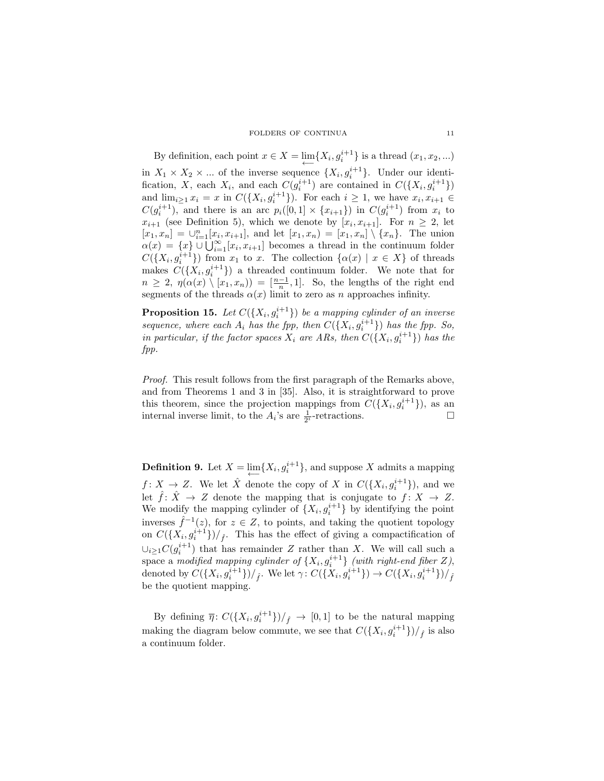FOLDERS OF CONTINUA 11

By definition, each point  $x \in X = \lim_{\longleftarrow} \{X_i, g_i^{i+1}\}$  is a thread  $(x_1, x_2, ...)$ in  $X_1 \times X_2 \times ...$  of the inverse sequence  $\{X_i, g_i^{i+1}\}\$ . Under our identification, X, each  $X_i$ , and each  $C(g_i^{i+1})$  are contained in  $C({X_i, g_i^{i+1}})$ and  $\lim_{i \ge 1} x_i = x$  in  $C({X_i, g_i^{i+1}})$ . For each  $i \ge 1$ , we have  $x_i, x_{i+1} \in$  $C(g_i^{i+1})$ , and there is an arc  $p_i([0,1] \times \{x_{i+1}\})$  in  $C(g_i^{i+1})$  from  $x_i$  to  $x_{i+1}$  (see Definition 5), which we denote by  $[x_i, x_{i+1}]$ . For  $n \geq 2$ , let  $[x_1, x_n] = \bigcup_{i=1}^n [x_i, x_{i+1}],$  and let  $[x_1, x_n] = [x_1, x_n] \setminus \{x_n\}.$  The union  $\alpha(x) = \{x\} \cup \bigcup_{i=1}^{\infty} [x_i, x_{i+1}]$  becomes a thread in the continuum folder  $C({X_i, g_i^{i+1}})$  from  $x_1$  to  $x$ . The collection  $\{\alpha(x) \mid x \in X\}$  of threads makes  $C({X_i, g_i^{i+1}})$  a threaded continuum folder. We note that for  $n \geq 2, \eta(\alpha(x) \setminus [x_1, x_n)) = \left[\frac{n-1}{n}, 1\right].$  So, the lengths of the right end segments of the threads  $\alpha(x)$  limit to zero as n approaches infinity.

**Proposition 15.** Let  $C({X_i, g_i^{i+1}})$  be a mapping cylinder of an inverse sequence, where each  $A_i$  has the fpp, then  $C({X_i, g_i^{i+1}})$  has the fpp. So, in particular, if the factor spaces  $X_i$  are ARs, then  $C({X_i, g_i^{i+1}})$  has the fpp.

Proof. This result follows from the first paragraph of the Remarks above, and from Theorems 1 and 3 in [35]. Also, it is straightforward to prove this theorem, since the projection mappings from  $C({X_i, g_i^{i+1}})$ , as an internal inverse limit, to the  $A_i$ 's are  $\frac{1}{2^i}$ -retractions.

**Definition 9.** Let  $X = \lim_{n \to \infty} \{X_i, g_i^{i+1}\}\$ , and suppose X admits a mapping  $f: X \to Z$ . We let  $\hat{X}$  denote the copy of X in  $C({X_i, g_i^{i+1}})$ , and we let  $\hat{f} : \hat{X} \to Z$  denote the mapping that is conjugate to  $f : X \to Z$ . We modify the mapping cylinder of  $\{X_i, g_i^{i+1}\}$  by identifying the point inverses  $\hat{f}^{-1}(z)$ , for  $z \in Z$ , to points, and taking the quotient topology on  $C({X_i, g_i^{i+1}})/f$ . This has the effect of giving a compactification of  $\cup_{i\geq 1}C(g_i^{i+1})$  that has remainder Z rather than X. We will call such a  $\cup_{i\geq 1}\cup (y_i$  funct has remainder  $\Sigma$  rather than  $X$ . We will can such a space a *modified mapping cylinder of*  $\{X_i, g_i^{i+1}\}$  *(with right-end fiber Z)*, denoted by  $C({X_i, g_i^{i+1}})/_{\hat{f}}$ . We let  $\gamma: C({X_i, g_i^{i+1}}) \to C({X_i, g_i^{i+1}})/_{\hat{f}}$ be the quotient mapping.

By defining  $\bar{\eta}$ :  $C({X_i, g_i^{i+1}})/f \to [0, 1]$  to be the natural mapping making the diagram below commute, we see that  $C({X_i, g_i^{i+1}})/f$  is also a continuum folder.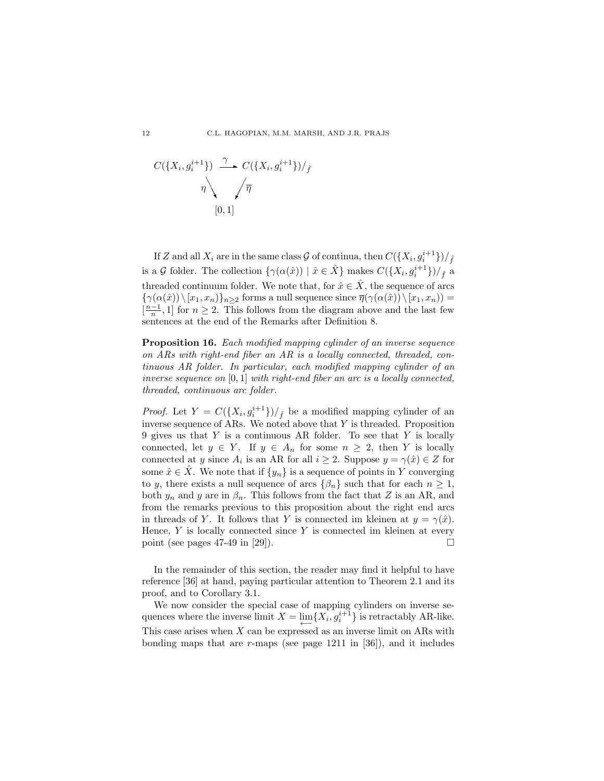$$
C(\lbrace X_i, g_i^{i+1} \rbrace) \xrightarrow{\gamma} C(\lbrace X_i, g_i^{i+1} \rbrace) /_{\hat{f}}
$$

$$
\eta \setminus \sqrt{\overline{\eta}}
$$

$$
[0, 1]
$$

If Z and all  $X_i$  are in the same class  $\mathcal G$  of continua, then  $C(\lbrace X_i, g_i^{i+1}\rbrace)/_{\hat f}$ is a G folder. The collection  $\{\gamma(\alpha(\hat{x})) \mid \hat{x} \in \hat{X}\}\)$  makes  $C(\{X_i, g_i^{i+1}\})/f\hat{f}$  a threaded continuum folder. We note that, for  $\hat{x} \in \hat{X}$ , the sequence of arcs  ${\gamma(\alpha(\hat{x})) \setminus [x_1, x_n]}_{n>2}$  forms a null sequence since  $\overline{\eta}(\gamma(\alpha(\hat{x})) \setminus [x_1, x_n)) =$  $\left[\frac{n-1}{n}, 1\right]$  for  $n \geq 2$ . This follows from the diagram above and the last few sentences at the end of the Remarks after Definition 8.

Proposition 16. Each modified mapping cylinder of an inverse sequence on ARs with right-end fiber an AR is a locally connected, threaded, continuous AR folder. In particular, each modified mapping cylinder of an inverse sequence on  $[0, 1]$  with right-end fiber an arc is a locally connected, threaded, continuous arc folder.

*Proof.* Let  $Y = C({X_i, g_i^{i+1}})/f$  be a modified mapping cylinder of an inverse sequence of ARs. We noted above that  $Y$  is threaded. Proposition 9 gives us that  $Y$  is a continuous AR folder. To see that  $Y$  is locally connected, let  $y \in Y$ . If  $y \in A_n$  for some  $n \geq 2$ , then Y is locally connected at y since  $A_i$  is an AR for all  $i \geq 2$ . Suppose  $y = \gamma(\hat{x}) \in Z$  for some  $\hat{x} \in \hat{X}$ . We note that if  $\{y_n\}$  is a sequence of points in Y converging to y, there exists a null sequence of arcs  $\{\beta_n\}$  such that for each  $n \geq 1$ , both  $y_n$  and y are in  $\beta_n$ . This follows from the fact that Z is an AR, and from the remarks previous to this proposition about the right end arcs in threads of Y. It follows that Y is connected im kleinen at  $y = \gamma(\hat{x})$ . Hence,  $Y$  is locally connected since  $Y$  is connected im kleinen at every point (see pages 47-49 in [29]).  $\square$ 

In the remainder of this section, the reader may find it helpful to have reference [36] at hand, paying particular attention to Theorem 2.1 and its proof, and to Corollary 3.1.

We now consider the special case of mapping cylinders on inverse sequences where the inverse limit  $X = \lim_{n \to \infty} \{X_i, g_i^{i+1}\}\$  is retractably AR-like. This case arises when  $X$  can be expressed as an inverse limit on ARs with bonding maps that are  $r$ -maps (see page 1211 in [36]), and it includes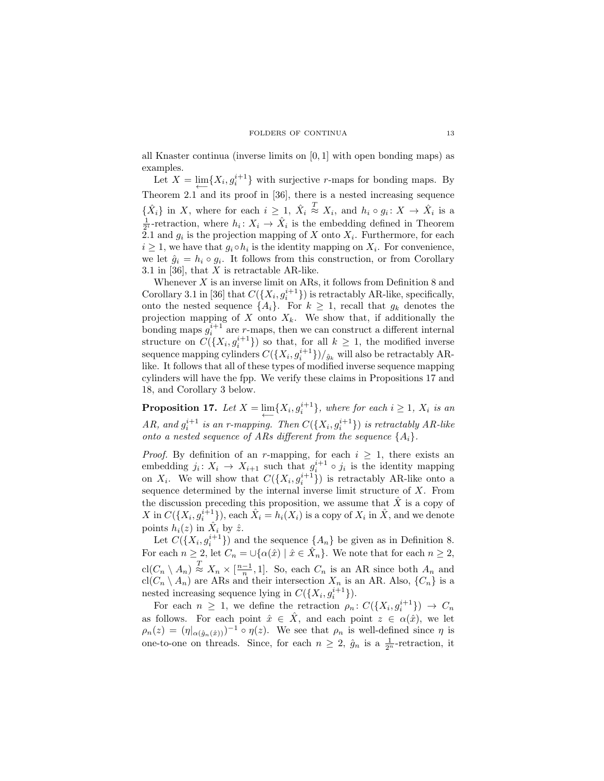all Knaster continua (inverse limits on [0, 1] with open bonding maps) as examples.

Let  $X = \lim_{n \to \infty} \{X_i, g_i^{i+1}\}\$  with surjective r-maps for bonding maps. By Theorem 2.1 and its proof in [36], there is a nested increasing sequence  $\{\hat{X}_i\}$  in X, where for each  $i \geq 1$ ,  $\hat{X}_i$  $\stackrel{T}{\approx} X_i$ , and  $h_i \circ g_i \colon X \to \hat{X}_i$  is a  $\frac{1}{2^i}$ -retraction, where  $h_i: X_i \to \hat{X}_i$  is the embedding defined in Theorem 2.1 and  $g_i$  is the projection mapping of X onto  $X_i$ . Furthermore, for each  $i \geq 1$ , we have that  $g_i \circ h_i$  is the identity mapping on  $X_i$ . For convenience, we let  $\hat{g}_i = h_i \circ g_i$ . It follows from this construction, or from Corollary 3.1 in [36], that  $X$  is retractable AR-like.

Whenever  $X$  is an inverse limit on ARs, it follows from Definition 8 and Corollary 3.1 in [36] that  $C({X_i, g_i^{i+1}})$  is retractably AR-like, specifically, onto the nested sequence  $\{A_i\}$ . For  $k \geq 1$ , recall that  $g_k$  denotes the projection mapping of  $X$  onto  $X_k$ . We show that, if additionally the bonding maps  $g_i^{i+1}$  are r-maps, then we can construct a different internal structure on  $C({X_i, g_i^{i+1}})$  so that, for all  $k \geq 1$ , the modified inverse sequence mapping cylinders  $C({X_i, g_i^{i+1}})/_{\hat{g}_k}$  will also be retractably ARlike. It follows that all of these types of modified inverse sequence mapping cylinders will have the fpp. We verify these claims in Propositions 17 and 18, and Corollary 3 below.

**Proposition 17.** Let  $X = \lim_{n \to \infty} \{X_i, g_i^{i+1}\}\$ , where for each  $i \geq 1$ ,  $X_i$  is an AR, and  $g_i^{i+1}$  is an r-mapping. Then  $C({X_i, g_i^{i+1}})$  is retractably AR-like onto a nested sequence of ARs different from the sequence  $\{A_i\}$ .

*Proof.* By definition of an r-mapping, for each  $i \geq 1$ , there exists an embedding  $j_i \colon X_i \to X_{i+1}$  such that  $g_i^{i+1} \circ j_i$  is the identity mapping on  $X_i$ . We will show that  $C({X_i, g_i^{i+1}})$  is retractably AR-like onto a sequence determined by the internal inverse limit structure of  $X$ . From the discussion preceding this proposition, we assume that  $\hat{X}$  is a copy of X in  $C({X_i, g_i^{i+1}})$ , each  $\hat{X}_i = h_i(X_i)$  is a copy of  $X_i$  in  $\hat{X}$ , and we denote points  $h_i(z)$  in  $\hat{X}_i$  by  $\hat{z}$ .

Let  $C({X_i, g_i^{i+1}})$  and the sequence  ${A_n}$  be given as in Definition 8. For each  $n \geq 2$ , let  $C_n = \cup{\alpha(\hat{x}) \mid \hat{x} \in \hat{X}_n}$ . We note that for each  $n \geq 2$ ,  $\text{cl}(C_n \setminus A_n) \stackrel{T}{\approx} X_n \times [\frac{n-1}{n}, 1].$  So, each  $C_n$  is an AR since both  $A_n$  and  $\text{cl}(C_n \setminus A_n)$  are ARs and their intersection  $X_n$  is an AR. Also,  $\{C_n\}$  is a nested increasing sequence lying in  $C({X_i, g_i^{i+1}})$ .

For each  $n \geq 1$ , we define the retraction  $\rho_n: C({X_i, g_i^{i+1}}) \to C_n$ as follows. For each point  $\hat{x} \in \hat{X}$ , and each point  $z \in \alpha(\hat{x})$ , we let  $\rho_n(z) = (\eta|_{\alpha(\hat{g}_n(\hat{x}))})^{-1} \circ \eta(z)$ . We see that  $\rho_n$  is well-defined since  $\eta$  is one-to-one on threads. Since, for each  $n \geq 2$ ,  $\hat{g}_n$  is a  $\frac{1}{2^n}$ -retraction, it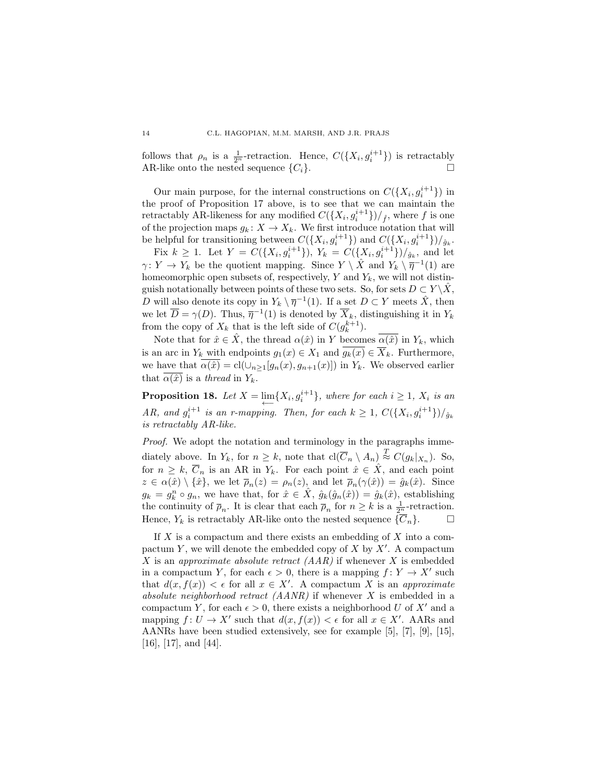follows that  $\rho_n$  is a  $\frac{1}{2^n}$ -retraction. Hence,  $C({X_i, g_i^{i+1}})$  is retractably AR-like onto the nested sequence  $\{C_i\}$ .

Our main purpose, for the internal constructions on  $C({X_i, g_i^{i+1}})$  in the proof of Proposition 17 above, is to see that we can maintain the retractably AR-likeness for any modified  $C({X_i, g_i^{i+1}})/_{\hat{f}}$ , where  $f$  is one of the projection maps  $g_k: X \to X_k$ . We first introduce notation that will be helpful for transitioning between  $C({X_i, g_i^{i+1}})$  and  $C({X_i, g_i^{i+1}})/_{\hat{g}_k}$ .

Fix  $k \geq 1$ . Let  $Y = C({X_i, g_i^{i+1}})$ ,  $Y_k = C({X_i, g_i^{i+1}})/_{\hat{g}_k}$ , and let  $\gamma: Y \to Y_k$  be the quotient mapping. Since  $Y \setminus \hat{X}$  and  $Y_k \setminus \overline{\eta}^{-1}(1)$  are homeomorphic open subsets of, respectively,  $Y$  and  $Y_k$ , we will not distinguish notationally between points of these two sets. So, for sets  $D \subset Y \backslash \hat{X}$ , D will also denote its copy in  $Y_k \setminus \overline{\eta}^{-1}(1)$ . If a set  $D \subset Y$  meets  $\hat{X}$ , then we let  $\overline{D} = \gamma(D)$ . Thus,  $\overline{\eta}^{-1}(1)$  is denoted by  $\overline{X}_k$ , distinguishing it in  $Y_k$ from the copy of  $X_k$  that is the left side of  $C(g_k^{k+1})$ .

Note that for  $\hat{x} \in \hat{X}$ , the thread  $\alpha(\hat{x})$  in Y becomes  $\alpha(\hat{x})$  in Y<sub>k</sub>, which is an arc in  $Y_k$  with endpoints  $g_1(x) \in X_1$  and  $\overline{g_k(x)} \in \overline{X}_k$ . Furthermore, we have that  $\overline{\alpha(\hat{x})} = \text{cl}(\cup_{n \geq 1}[g_n(x), g_{n+1}(x)])$  in Y<sub>k</sub>. We observed earlier that  $\alpha(\hat{x})$  is a thread in  $Y_k$ .

**Proposition 18.** Let  $X = \lim_{n \to \infty} \{X_i, g_i^{i+1}\}\$ , where for each  $i \geq 1$ ,  $X_i$  is an AR, and  $g_i^{i+1}$  is an r-mapping. Then, for each  $k \geq 1$ ,  $C({X_i, g_i^{i+1}})/_{\hat{g}_k}$ is retractably AR-like.

Proof. We adopt the notation and terminology in the paragraphs immediately above. In  $Y_k$ , for  $n \geq k$ , note that  $\text{cl}(\overline{C}_n \setminus A_n) \stackrel{T}{\approx} C(g_k|_{X_n})$ . So, for  $n \geq k$ ,  $\overline{C}_n$  is an AR in  $Y_k$ . For each point  $\hat{x} \in \hat{X}$ , and each point  $z \in \alpha(\hat{x}) \setminus {\hat{x}}$ , we let  $\bar{p}_n(z) = \rho_n(z)$ , and let  $\bar{p}_n(\gamma(\hat{x})) = \hat{g}_k(\hat{x})$ . Since  $g_k = g_k^n \circ g_n$ , we have that, for  $\hat{x} \in \hat{X}$ ,  $\hat{g}_k(\hat{g}_n(\hat{x})) = \hat{g}_k(\hat{x})$ , establishing the continuity of  $\overline{\rho}_n$ . It is clear that each  $\overline{\rho}_n$  for  $n \geq k$  is a  $\frac{1}{2^n}$ -retraction. Hence,  $Y_k$  is retractably AR-like onto the nested sequence  $\{\overline{C}_n\}$ .  $\Box$ 

If  $X$  is a compactum and there exists an embedding of  $X$  into a compactum Y, we will denote the embedded copy of  $X$  by  $X'$ . A compactum X is an approximate absolute retract  $(AAR)$  if whenever X is embedded in a compactum Y, for each  $\epsilon > 0$ , there is a mapping  $f: Y \to X'$  such that  $d(x, f(x)) < \epsilon$  for all  $x \in X'$ . A compactum X is an approximate absolute neighborhood retract (AANR) if whenever X is embedded in a compactum Y, for each  $\epsilon > 0$ , there exists a neighborhood U of X' and a mapping  $f: U \to X'$  such that  $d(x, f(x)) < \epsilon$  for all  $x \in X'$ . AARs and AANRs have been studied extensively, see for example [5], [7], [9], [15], [16], [17], and [44].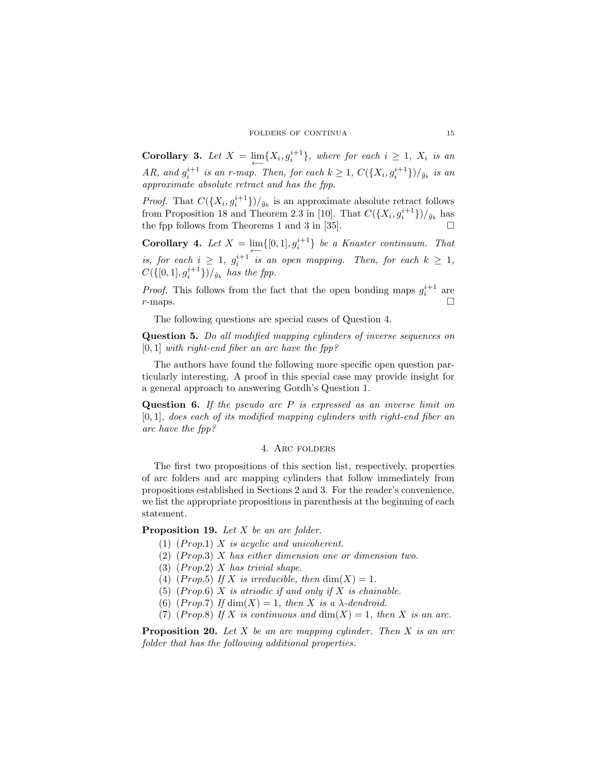**Corollary 3.** Let  $X = \lim_{n \to \infty} \{X_i, g_i^{i+1}\}\$ , where for each  $i \geq 1$ ,  $X_i$  is an AR, and  $g_i^{i+1}$  is an r-map. Then, for each  $k \geq 1$ ,  $C({X_i, g_i^{i+1}})/_{\hat{g}_k}$  is an approximate absolute retract and has the fpp.

*Proof.* That  $C({X_i, g_i^{i+1}})/{\hat{g}_k}$  is an approximate absolute retract follows from Proposition 18 and Theorem 2.3 in [10]. That  $C({X_i, g_i^{i+1}})/_{\hat{g}_k}$  has the fpp follows from Theorems 1 and 3 in [35].

**Corollary 4.** Let  $X = \lim_{n \to \infty} \{ [0, 1], g_i^{i+1} \}$  be a Knaster continuum. That is, for each  $i \geq 1$ ,  $g_i^{i+1}$  is an open mapping. Then, for each  $k \geq 1$ ,  $C({[0,1], g_i^{i+1}})/_{\hat{g}_k}$  has the fpp.

*Proof.* This follows from the fact that the open bonding maps  $g_i^{i+1}$  are  $r$ -maps.

The following questions are special cases of Question 4.

Question 5. Do all modified mapping cylinders of inverse sequences on  $[0, 1]$  with right-end fiber an arc have the fpp?

The authors have found the following more specific open question particularly interesting. A proof in this special case may provide insight for a general approach to answering Gordh's Question 1.

**Question 6.** If the pseudo arc  $P$  is expressed as an inverse limit on [0, 1], does each of its modified mapping cylinders with right-end fiber an arc have the fpp?

# 4. Arc folders

The first two propositions of this section list, respectively, properties of arc folders and arc mapping cylinders that follow immediately from propositions established in Sections 2 and 3. For the reader's convenience, we list the appropriate propositions in parenthesis at the beginning of each statement.

Proposition 19. Let X be an arc folder.

- (1)  $(Proof 1)$  X is acyclic and unicoherent.
- $(2)$  (Prop.3) X has either dimension one or dimension two.
- $(3)$  (Prop.2) X has trivial shape.
- (4) (Prop.5) If X is irreducible, then  $\dim(X) = 1$ .
- (5)  $(Prop.6)$  X is atriodic if and only if X is chainable.
- (6) (Prop.7) If  $\dim(X) = 1$ , then X is a  $\lambda$ -dendroid.
- (7) (Prop.8) If X is continuous and  $\dim(X) = 1$ , then X is an arc.

**Proposition 20.** Let X be an arc mapping cylinder. Then X is an arc folder that has the following additional properties.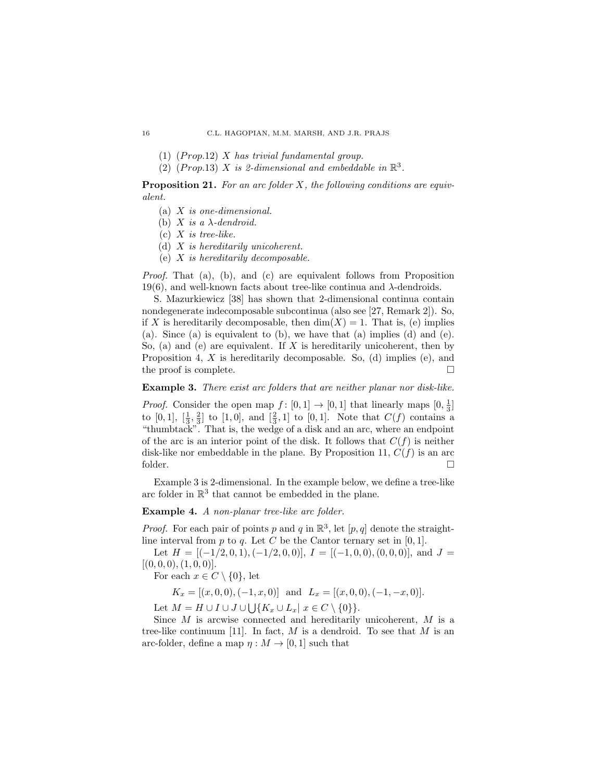- $(1)$  (Prop.12) X has trivial fundamental group.
- (2) (Prop.13) X is 2-dimensional and embeddable in  $\mathbb{R}^3$ .

**Proposition 21.** For an arc folder  $X$ , the following conditions are equivalent.

- $(a)$  X is one-dimensional.
- (b) X is a  $\lambda$ -dendroid.
- $(c)$  X is tree-like.
- (d) X is hereditarily unicoherent.
- (e) X is hereditarily decomposable.

Proof. That (a), (b), and (c) are equivalent follows from Proposition 19(6), and well-known facts about tree-like continua and  $λ$ -dendroids.

S. Mazurkiewicz [38] has shown that 2-dimensional continua contain nondegenerate indecomposable subcontinua (also see [27, Remark 2]). So, if X is hereditarily decomposable, then  $\dim(X) = 1$ . That is, (e) implies (a). Since (a) is equivalent to (b), we have that (a) implies (d) and (e). So, (a) and (e) are equivalent. If X is hereditarily unicoherent, then by Proposition 4, X is hereditarily decomposable. So, (d) implies (e), and the proof is complete.

Example 3. There exist arc folders that are neither planar nor disk-like.

*Proof.* Consider the open map  $f: [0,1] \rightarrow [0,1]$  that linearly maps  $[0, \frac{1}{3}]$ to  $[0,1]$ ,  $[\frac{1}{3}, \frac{2}{3}]$  to  $[1,0]$ , and  $[\frac{2}{3},1]$  to  $[0,1]$ . Note that  $C(f)$  contains a "thumbtack". That is, the wedge of a disk and an arc, where an endpoint of the arc is an interior point of the disk. It follows that  $C(f)$  is neither disk-like nor embeddable in the plane. By Proposition 11,  $C(f)$  is an arc folder.

Example 3 is 2-dimensional. In the example below, we define a tree-like arc folder in  $\mathbb{R}^3$  that cannot be embedded in the plane.

Example 4. A non-planar tree-like arc folder.

*Proof.* For each pair of points p and q in  $\mathbb{R}^3$ , let  $[p, q]$  denote the straightline interval from  $p$  to  $q$ . Let  $C$  be the Cantor ternary set in [0, 1].

Let  $H = \{(-1/2, 0, 1), (-1/2, 0, 0)\}, I = \{(-1, 0, 0), (0, 0, 0)\}, \text{ and } J =$  $[(0, 0, 0), (1, 0, 0)].$ 

For each  $x \in C \setminus \{0\}$ , let

 $K_x = [(x, 0, 0), (-1, x, 0)]$  and  $L_x = [(x, 0, 0), (-1, -x, 0)].$ 

Let  $M = H \cup I \cup J \cup \bigcup \{K_x \cup L_x | x \in C \setminus \{0\}\}.$ 

Since M is arcwise connected and hereditarily unicoherent, M is a tree-like continuum [11]. In fact,  $M$  is a dendroid. To see that  $M$  is an arc-folder, define a map  $\eta : M \to [0, 1]$  such that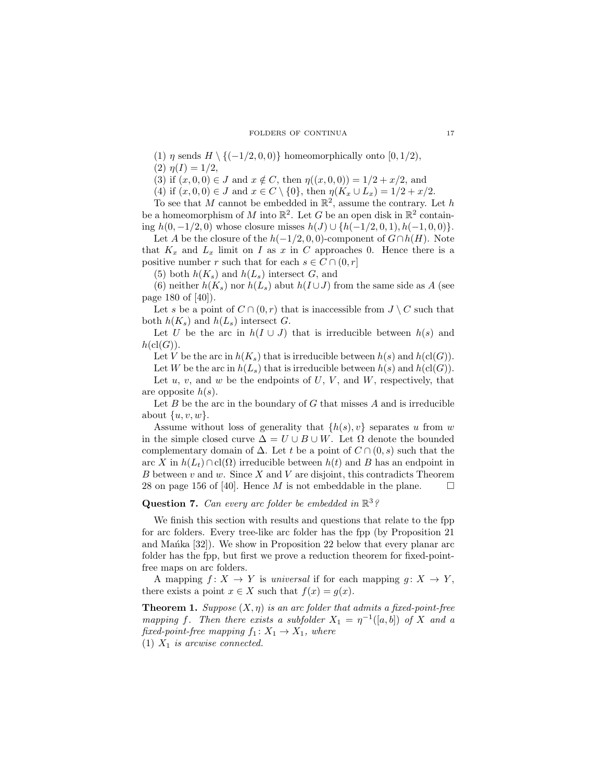- (1)  $\eta$  sends  $H \setminus \{(-1/2, 0, 0)\}\$  homeomorphically onto [0, 1/2),
- (2)  $\eta(I) = 1/2$ ,
- (3) if  $(x, 0, 0) \in J$  and  $x \notin C$ , then  $\eta((x, 0, 0)) = 1/2 + x/2$ , and
- (4) if  $(x, 0, 0) \in J$  and  $x \in C \setminus \{0\}$ , then  $\eta(K_x \cup L_x) = 1/2 + x/2$ .

To see that M cannot be embedded in  $\mathbb{R}^2$ , assume the contrary. Let h be a homeomorphism of M into  $\mathbb{R}^2$ . Let G be an open disk in  $\mathbb{R}^2$  containing  $h(0, -1/2, 0)$  whose closure misses  $h(J) \cup \{h(-1/2, 0, 1), h(-1, 0, 0)\}.$ 

Let A be the closure of the  $h(-1/2, 0, 0)$ -component of  $G \cap h(H)$ . Note that  $K_x$  and  $L_x$  limit on I as x in C approaches 0. Hence there is a positive number r such that for each  $s \in C \cap (0, r]$ 

(5) both  $h(K_s)$  and  $h(L_s)$  intersect G, and

(6) neither  $h(K_s)$  nor  $h(L_s)$  abut  $h(I \cup J)$  from the same side as A (see page 180 of [40]).

Let s be a point of  $C \cap (0, r)$  that is inaccessible from  $J \setminus C$  such that both  $h(K_s)$  and  $h(L_s)$  intersect G.

Let U be the arc in  $h(I \cup J)$  that is irreducible between  $h(s)$  and  $h(cl(G))$ .

Let V be the arc in  $h(K_s)$  that is irreducible between  $h(s)$  and  $h(cl(G))$ .

Let W be the arc in  $h(L_s)$  that is irreducible between  $h(s)$  and  $h(cl(G))$ . Let  $u, v$ , and  $w$  be the endpoints of  $U, V$ , and  $W$ , respectively, that

are opposite  $h(s)$ .

Let  $B$  be the arc in the boundary of  $G$  that misses  $A$  and is irreducible about  $\{u, v, w\}.$ 

Assume without loss of generality that  $\{h(s), v\}$  separates u from w in the simple closed curve  $\Delta = U \cup B \cup W$ . Let  $\Omega$  denote the bounded complementary domain of  $\Delta$ . Let t be a point of  $C \cap (0, s)$  such that the arc X in  $h(L_t) \cap cl(\Omega)$  irreducible between  $h(t)$  and B has an endpoint in B between  $v$  and  $w$ . Since  $X$  and  $V$  are disjoint, this contradicts Theorem 28 on page 156 of [40]. Hence M is not embeddable in the plane.  $\Box$ 

# **Question 7.** Can every arc folder be embedded in  $\mathbb{R}^3$ ?

We finish this section with results and questions that relate to the fpp for arc folders. Every tree-like arc folder has the fpp (by Proposition 21 and Manka [32]). We show in Proposition 22 below that every planar arc folder has the fpp, but first we prove a reduction theorem for fixed-pointfree maps on arc folders.

A mapping  $f: X \to Y$  is universal if for each mapping  $g: X \to Y$ , there exists a point  $x \in X$  such that  $f(x) = g(x)$ .

**Theorem 1.** Suppose  $(X, \eta)$  is an arc folder that admits a fixed-point-free mapping f. Then there exists a subfolder  $X_1 = \eta^{-1}([a, b])$  of X and a fixed-point-free mapping  $f_1: X_1 \to X_1$ , where (1)  $X_1$  is arcwise connected.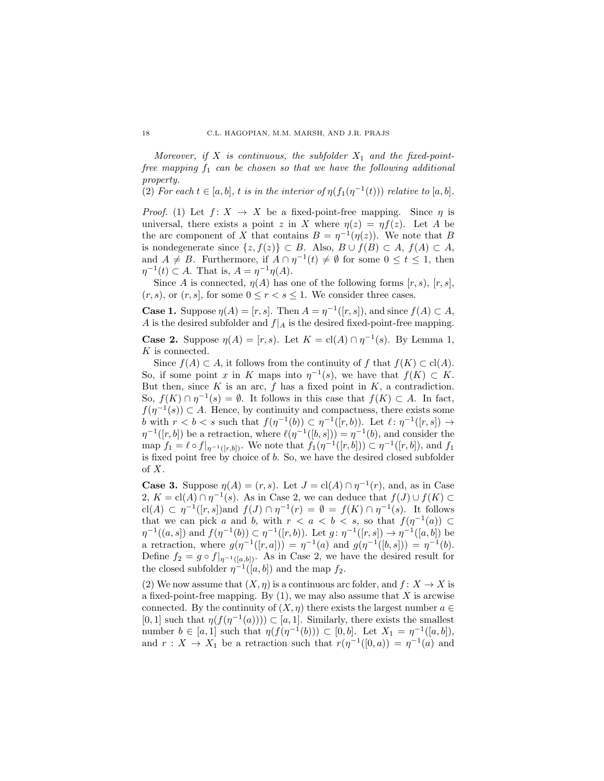Moreover, if X is continuous, the subfolder  $X_1$  and the fixed-pointfree mapping  $f_1$  can be chosen so that we have the following additional property.

(2) For each  $t \in [a, b]$ , t is in the interior of  $\eta(f_1(\eta^{-1}(t)))$  relative to  $[a, b]$ .

*Proof.* (1) Let  $f: X \to X$  be a fixed-point-free mapping. Since  $\eta$  is universal, there exists a point z in X where  $\eta(z) = \eta f(z)$ . Let A be the arc component of X that contains  $B = \eta^{-1}(\eta(z))$ . We note that B is nondegenerate since  $\{z, f(z)\}\subset B$ . Also,  $B\cup f(B)\subset A$ ,  $f(A)\subset A$ , and  $A \neq B$ . Furthermore, if  $A \cap \eta^{-1}(t) \neq \emptyset$  for some  $0 \leq t \leq 1$ , then  $\eta^{-1}(t) \subset A$ . That is,  $A = \eta^{-1}\eta(A)$ .

Since A is connected,  $\eta(A)$  has one of the following forms  $[r, s)$ ,  $[r, s]$ ,  $(r, s)$ , or  $(r, s]$ , for some  $0 \le r < s \le 1$ . We consider three cases.

**Case 1.** Suppose  $\eta(A) = [r, s]$ . Then  $A = \eta^{-1}([r, s])$ , and since  $f(A) \subset A$ , A is the desired subfolder and  $f|_A$  is the desired fixed-point-free mapping. **Case 2.** Suppose  $\eta(A) = [r, s)$ . Let  $K = \text{cl}(A) \cap \eta^{-1}(s)$ . By Lemma 1,

K is connected.

Since  $f(A) \subset A$ , it follows from the continuity of f that  $f(K) \subset cl(A)$ . So, if some point x in K maps into  $\eta^{-1}(s)$ , we have that  $f(K) \subset K$ . But then, since  $K$  is an arc,  $f$  has a fixed point in  $K$ , a contradiction. So,  $f(K) \cap \eta^{-1}(s) = \emptyset$ . It follows in this case that  $f(K) \subset A$ . In fact,  $f(\eta^{-1}(s)) \subset A$ . Hence, by continuity and compactness, there exists some b with  $r < b < s$  such that  $f(\eta^{-1}(b)) \subset \eta^{-1}([r, b])$ . Let  $\ell : \eta^{-1}([r, s]) \to$  $\eta^{-1}([r, b])$  be a retraction, where  $\ell(\eta^{-1}([b, s])) = \eta^{-1}(b)$ , and consider the map  $f_1 = \ell \circ f|_{\eta^{-1}([r,b])}$ . We note that  $f_1(\eta^{-1}([r,b])) \subset \eta^{-1}([r,b])$ , and  $f_1$ is fixed point free by choice of b. So, we have the desired closed subfolder of X.

**Case 3.** Suppose  $\eta(A) = (r, s)$ . Let  $J = \text{cl}(A) \cap \eta^{-1}(r)$ , and, as in Case 2,  $K = \text{cl}(A) \cap \eta^{-1}(s)$ . As in Case 2, we can deduce that  $f(J) \cup f(K) \subset$  $\text{cl}(A) \subset \eta^{-1}([r,s])$  and  $f(J) \cap \eta^{-1}(r) = \emptyset = f(K) \cap \eta^{-1}(s)$ . It follows that we can pick a and b, with  $r < a < b < s$ , so that  $f(\eta^{-1}(a)) \subset$  $\eta^{-1}((a, s])$  and  $f(\eta^{-1}(b)) \subset \eta^{-1}([r, b])$ . Let  $g: \eta^{-1}([r, s]) \to \eta^{-1}([a, b])$  be a retraction, where  $g(\eta^{-1}([r,a])) = \eta^{-1}(a)$  and  $g(\eta^{-1}([b,s])) = \eta^{-1}(b)$ . Define  $f_2 = g \circ f|_{\eta^{-1}([a,b])}$ . As in Case 2, we have the desired result for the closed subfolder  $\eta^{-1}([a, b])$  and the map  $f_2$ .

(2) We now assume that  $(X, \eta)$  is a continuous arc folder, and  $f: X \to X$  is a fixed-point-free mapping. By  $(1)$ , we may also assume that X is arcwise connected. By the continuity of  $(X, \eta)$  there exists the largest number  $a \in$ [0, 1] such that  $\eta(f(\eta^{-1}(a))) \subset [a, 1]$ . Similarly, there exists the smallest number  $b \in [a, 1]$  such that  $\eta(f(\eta^{-1}(b))) \subset [0, b]$ . Let  $X_1 = \eta^{-1}([a, b])$ , and  $r: X \to X_1$  be a retraction such that  $r(\eta^{-1}([0, a)) = \eta^{-1}(a)$  and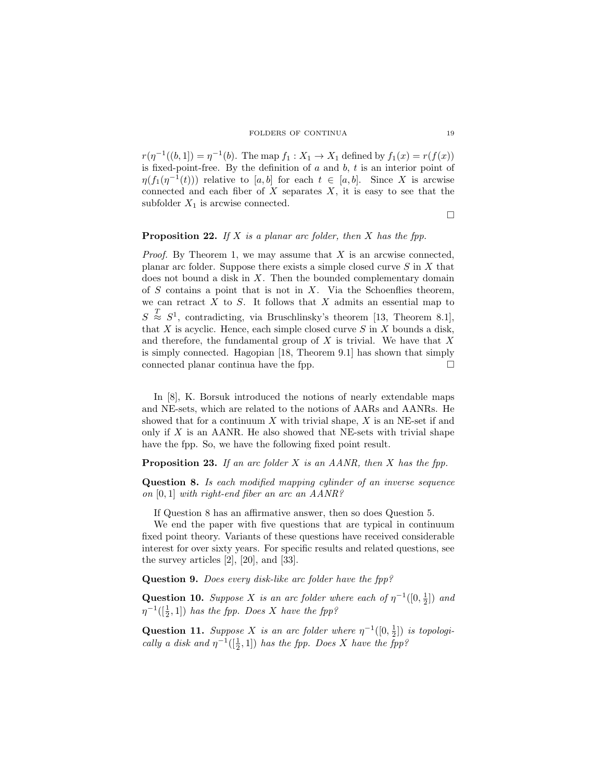#### FOLDERS OF CONTINUA 19

 $r(\eta^{-1}((b, 1]) = \eta^{-1}(b)$ . The map  $f_1 : X_1 \to X_1$  defined by  $f_1(x) = r(f(x))$ is fixed-point-free. By the definition of  $a$  and  $b$ ,  $t$  is an interior point of  $\eta(f_1(\eta^{-1}(t)))$  relative to [a, b] for each  $t \in [a, b]$ . Since X is arcwise connected and each fiber of  $X$  separates  $X$ , it is easy to see that the subfolder  $X_1$  is arcwise connected.

 $\Box$ 

# **Proposition 22.** If X is a planar arc folder, then X has the fpp.

*Proof.* By Theorem 1, we may assume that  $X$  is an arcwise connected, planar arc folder. Suppose there exists a simple closed curve  $S$  in  $X$  that does not bound a disk in  $X$ . Then the bounded complementary domain of  $S$  contains a point that is not in  $X$ . Via the Schoenflies theorem, we can retract  $X$  to  $S$ . It follows that  $X$  admits an essential map to  $S \stackrel{T}{\approx} S^1$ , contradicting, via Bruschlinsky's theorem [13, Theorem 8.1], that  $X$  is acyclic. Hence, each simple closed curve  $S$  in  $X$  bounds a disk, and therefore, the fundamental group of  $X$  is trivial. We have that  $X$ is simply connected. Hagopian [18, Theorem 9.1] has shown that simply connected planar continua have the fpp.

In [8], K. Borsuk introduced the notions of nearly extendable maps and NE-sets, which are related to the notions of AARs and AANRs. He showed that for a continuum  $X$  with trivial shape,  $X$  is an NE-set if and only if  $X$  is an AANR. He also showed that NE-sets with trivial shape have the fpp. So, we have the following fixed point result.

### **Proposition 23.** If an arc folder  $X$  is an AANR, then  $X$  has the fpp.

Question 8. Is each modified mapping cylinder of an inverse sequence on [0, 1] with right-end fiber an arc an AANR?

If Question 8 has an affirmative answer, then so does Question 5.

We end the paper with five questions that are typical in continuum fixed point theory. Variants of these questions have received considerable interest for over sixty years. For specific results and related questions, see the survey articles [2], [20], and [33].

Question 9. Does every disk-like arc folder have the fpp?

**Question 10.** Suppose X is an arc folder where each of  $\eta^{-1}([0, \frac{1}{2}])$  and  $\eta^{-1}([\frac{1}{2},1])$  has the fpp. Does X have the fpp?

Question 11. Suppose X is an arc folder where  $\eta^{-1}([0, \frac{1}{2}])$  is topologically a disk and  $\eta^{-1}([\frac{1}{2},1])$  has the fpp. Does X have the fpp?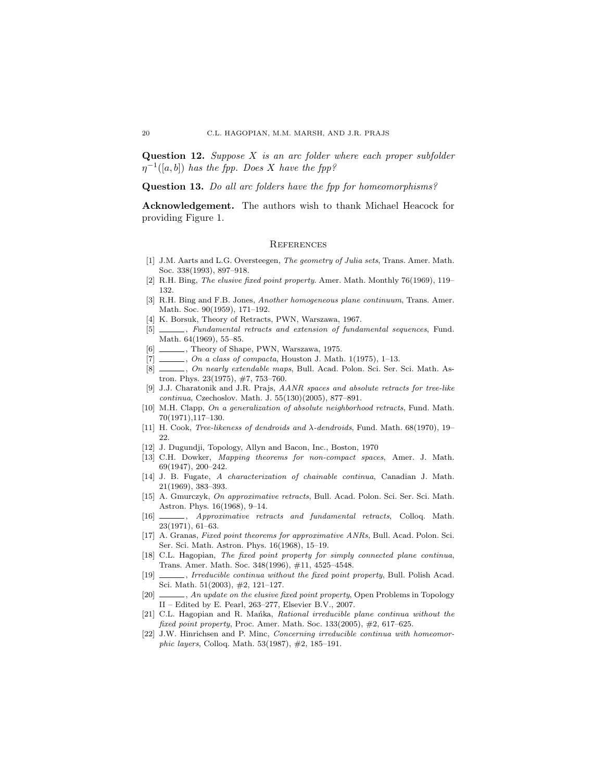**Question 12.** Suppose  $X$  is an arc folder where each proper subfolder  $\eta^{-1}([a, b])$  has the fpp. Does X have the fpp?

Question 13. Do all arc folders have the fpp for homeomorphisms?

Acknowledgement. The authors wish to thank Michael Heacock for providing Figure 1.

#### **REFERENCES**

- [1] J.M. Aarts and L.G. Oversteegen, The geometry of Julia sets, Trans. Amer. Math. Soc. 338(1993), 897–918.
- [2] R.H. Bing, The elusive fixed point property. Amer. Math. Monthly 76(1969), 119– 132.
- [3] R.H. Bing and F.B. Jones, Another homogeneous plane continuum, Trans. Amer. Math. Soc. 90(1959), 171–192.
- [4] K. Borsuk, Theory of Retracts, PWN, Warszawa, 1967.
- [5] \_\_\_\_\_, Fundamental retracts and extension of fundamental sequences, Fund. Math. 64(1969), 55–85.
- [6] , Theory of Shape, PWN, Warszawa, 1975.
- $[7]$   $\_\_\_\_\_\_$ , On a class of compacta, Houston J. Math. 1(1975), 1–13.
- [8]  $\frac{[8]}{[8]}$  *On nearly extendable maps*, Bull. Acad. Polon. Sci. Ser. Sci. Math. Astron. Phys. 23(1975), #7, 753–760.
- [9] J.J. Charatonik and J.R. Prajs, AANR spaces and absolute retracts for tree-like continua, Czechoslov. Math. J. 55(130)(2005), 877–891.
- [10] M.H. Clapp, On a generalization of absolute neighborhood retracts, Fund. Math. 70(1971),117–130.
- [11] H. Cook, Tree-likeness of dendroids and λ-dendroids, Fund. Math. 68(1970), 19– 22.
- [12] J. Dugundji, Topology, Allyn and Bacon, Inc., Boston, 1970
- [13] C.H. Dowker, Mapping theorems for non-compact spaces, Amer. J. Math. 69(1947), 200–242.
- [14] J. B. Fugate, A characterization of chainable continua, Canadian J. Math. 21(1969), 383–393.
- [15] A. Gmurczyk, On approximative retracts, Bull. Acad. Polon. Sci. Ser. Sci. Math. Astron. Phys. 16(1968), 9–14.
- [16] \_\_\_\_\_, Approximative retracts and fundamental retracts, Colloq. Math. 23(1971), 61–63.
- [17] A. Granas, Fixed point theorems for approximative ANRs, Bull. Acad. Polon. Sci. Ser. Sci. Math. Astron. Phys. 16(1968), 15–19.
- [18] C.L. Hagopian, The fixed point property for simply connected plane continua, Trans. Amer. Math. Soc. 348(1996), #11, 4525–4548.
- [19] , Irreducible continua without the fixed point property, Bull. Polish Acad. Sci. Math. 51(2003), #2, 121–127.
- [20]  $\_\_\_\_\$ , An update on the elusive fixed point property, Open Problems in Topology II – Edited by E. Pearl, 263–277, Elsevier B.V., 2007.
- [21] C.L. Hagopian and R. Mañka, Rational irreducible plane continua without the fixed point property, Proc. Amer. Math. Soc. 133(2005), #2, 617–625.
- [22] J.W. Hinrichsen and P. Minc, Concerning irreducible continua with homeomorphic layers, Colloq. Math. 53(1987), #2, 185–191.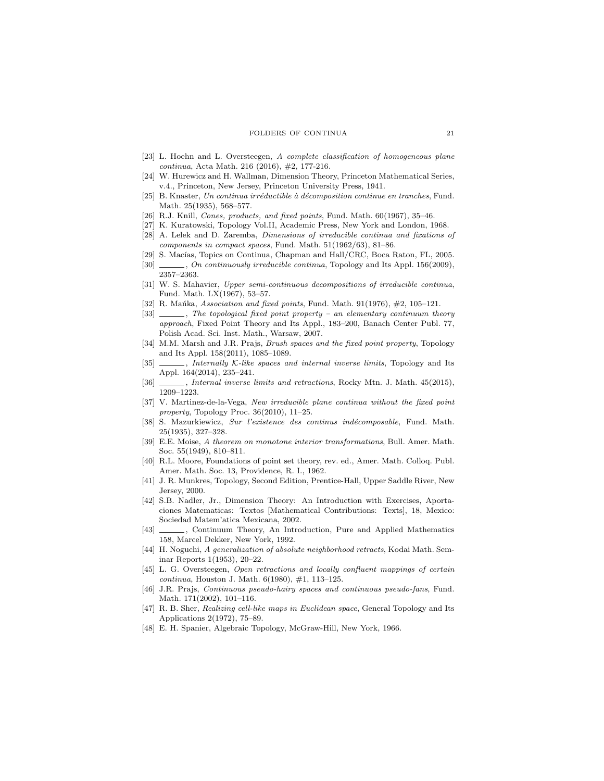#### FOLDERS OF CONTINUA 21

- [23] L. Hoehn and L. Oversteegen, A complete classification of homogeneous plane continua, Acta Math. 216 (2016), #2, 177-216.
- [24] W. Hurewicz and H. Wallman, Dimension Theory, Princeton Mathematical Series, v.4., Princeton, New Jersey, Princeton University Press, 1941.
- [25] B. Knaster, Un continua irréductible à décomposition continue en tranches, Fund. Math. 25(1935), 568–577.
- [26] R.J. Knill, Cones, products, and fixed points, Fund. Math. 60(1967), 35-46.
- [27] K. Kuratowski, Topology Vol.II, Academic Press, New York and London, 1968.
- [28] A. Lelek and D. Zaremba, Dimensions of irreducible continua and fixations of components in compact spaces, Fund. Math. 51(1962/63), 81–86.
- [29] S. Macías, Topics on Continua, Chapman and Hall/CRC, Boca Raton, FL, 2005. [30] , On continuously irreducible continua, Topology and Its Appl. 156(2009), 2357–2363.
- [31] W. S. Mahavier, Upper semi-continuous decompositions of irreducible continua, Fund. Math. LX(1967), 53–57.
- [32] R. Mańka, Association and fixed points, Fund. Math.  $91(1976)$ ,  $\#2$ ,  $105-121$ .
- [33]  $\_\_\_\_\$ n. The topological fixed point property an elementary continuum theory approach, Fixed Point Theory and Its Appl., 183–200, Banach Center Publ. 77, Polish Acad. Sci. Inst. Math., Warsaw, 2007.
- [34] M.M. Marsh and J.R. Prajs, *Brush spaces and the fixed point property*, Topology and Its Appl. 158(2011), 1085–1089.
- [35] , Internally K-like spaces and internal inverse limits, Topology and Its Appl. 164(2014), 235–241.
- [36] , Internal inverse limits and retractions, Rocky Mtn. J. Math. 45(2015), 1209–1223.
- [37] V. Martinez-de-la-Vega, New irreducible plane continua without the fixed point property, Topology Proc. 36(2010), 11–25.
- [38] S. Mazurkiewicz, Sur l'existence des continus ind´ecomposable, Fund. Math. 25(1935), 327–328.
- [39] E.E. Moise, A theorem on monotone interior transformations, Bull. Amer. Math. Soc. 55(1949), 810–811.
- [40] R.L. Moore, Foundations of point set theory, rev. ed., Amer. Math. Colloq. Publ. Amer. Math. Soc. 13, Providence, R. I., 1962.
- [41] J. R. Munkres, Topology, Second Edition, Prentice-Hall, Upper Saddle River, New Jersey, 2000.
- [42] S.B. Nadler, Jr., Dimension Theory: An Introduction with Exercises, Aportaciones Matematicas: Textos [Mathematical Contributions: Texts], 18, Mexico: Sociedad Matem'atica Mexicana, 2002.
- [43] \_\_\_\_\_, Continuum Theory, An Introduction, Pure and Applied Mathematics 158, Marcel Dekker, New York, 1992.
- [44] H. Noguchi, A generalization of absolute neighborhood retracts, Kodai Math. Seminar Reports 1(1953), 20–22.
- [45] L. G. Oversteegen, Open retractions and locally confluent mappings of certain continua, Houston J. Math. 6(1980), #1, 113–125.
- [46] J.R. Prajs, Continuous pseudo-hairy spaces and continuous pseudo-fans, Fund. Math. 171(2002), 101–116.
- [47] R. B. Sher, Realizing cell-like maps in Euclidean space, General Topology and Its Applications 2(1972), 75–89.
- [48] E. H. Spanier, Algebraic Topology, McGraw-Hill, New York, 1966.